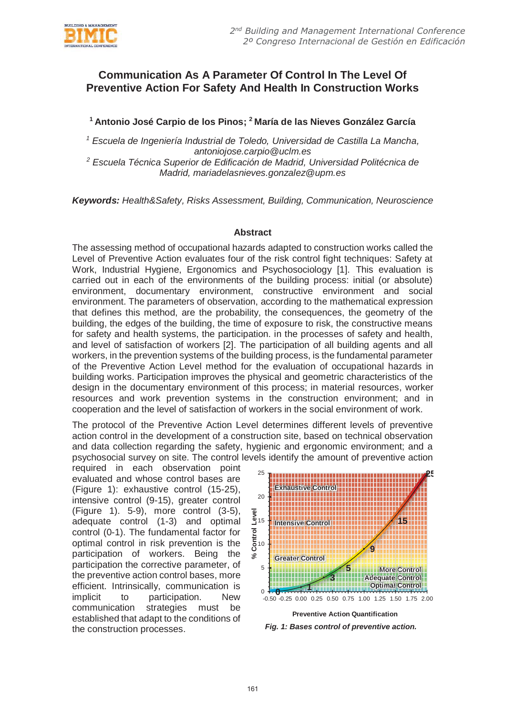

## **Communication As A Parameter Of Control In The Level Of Preventive Action For Safety And Health In Construction Works**

**1 Antonio José Carpio de los Pinos; 2 María de las Nieves González García** 

*1 Escuela de Ingeniería Industrial de Toledo, Universidad de Castilla La Mancha, antoniojose.carpio@uclm.es* 

*2 Escuela Técnica Superior de Edificación de Madrid, Universidad Politécnica de Madrid, mariadelasnieves.gonzalez@upm.es* 

*Keywords: Health&Safety, Risks Assessment, Building, Communication, Neuroscience*

## **Abstract**

The assessing method of occupational hazards adapted to construction works called the Level of Preventive Action evaluates four of the risk control fight techniques: Safety at Work, Industrial Hygiene, Ergonomics and Psychosociology [1]. This evaluation is carried out in each of the environments of the building process: initial (or absolute) environment, documentary environment, constructive environment and social environment. The parameters of observation, according to the mathematical expression that defines this method, are the probability, the consequences, the geometry of the building, the edges of the building, the time of exposure to risk, the constructive means for safety and health systems, the participation. in the processes of safety and health, and level of satisfaction of workers [2]. The participation of all building agents and all workers, in the prevention systems of the building process, is the fundamental parameter of the Preventive Action Level method for the evaluation of occupational hazards in building works. Participation improves the physical and geometric characteristics of the design in the documentary environment of this process; in material resources, worker resources and work prevention systems in the construction environment; and in cooperation and the level of satisfaction of workers in the social environment of work.

The protocol of the Preventive Action Level determines different levels of preventive action control in the development of a construction site, based on technical observation and data collection regarding the safety, hygienic and ergonomic environment; and a psychosocial survey on site. The control levels identify the amount of preventive action

required in each observation point evaluated and whose control bases are (Figure 1): exhaustive control (15-25), intensive control (9-15), greater control (Figure 1). 5-9), more control (3-5), adequate control (1-3) and optimal control (0-1). The fundamental factor for optimal control in risk prevention is the participation of workers. Being the participation the corrective parameter, of the preventive action control bases, more efficient. Intrinsically, communication is implicit to participation. New communication strategies must be established that adapt to the conditions of the construction processes. *Fig. 1: Bases control of preventive action.*